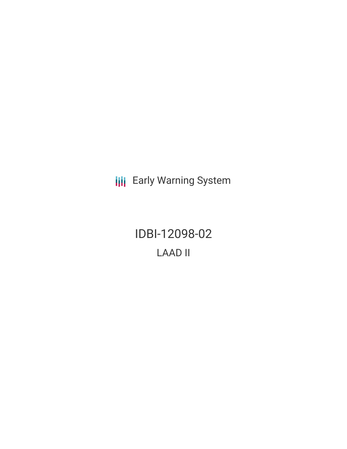**III** Early Warning System

IDBI-12098-02 LAAD II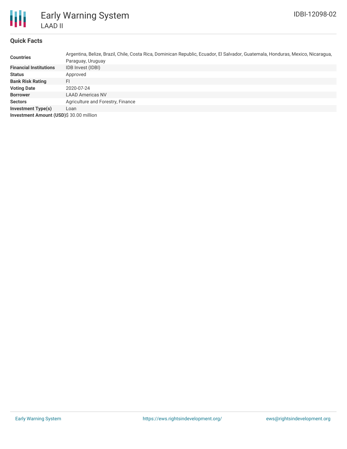

# **Quick Facts**

| <b>Countries</b>                        | Argentina, Belize, Brazil, Chile, Costa Rica, Dominican Republic, Ecuador, El Salvador, Guatemala, Honduras, Mexico, Nicaragua,<br>Paraguay, Uruguay |
|-----------------------------------------|------------------------------------------------------------------------------------------------------------------------------------------------------|
| <b>Financial Institutions</b>           | IDB Invest (IDBI)                                                                                                                                    |
| <b>Status</b>                           | Approved                                                                                                                                             |
| <b>Bank Risk Rating</b>                 | FI                                                                                                                                                   |
| <b>Voting Date</b>                      | 2020-07-24                                                                                                                                           |
| <b>Borrower</b>                         | <b>LAAD Americas NV</b>                                                                                                                              |
| <b>Sectors</b>                          | Agriculture and Forestry, Finance                                                                                                                    |
| <b>Investment Type(s)</b>               | Loan                                                                                                                                                 |
| Investment Amount (USD)\$ 30.00 million |                                                                                                                                                      |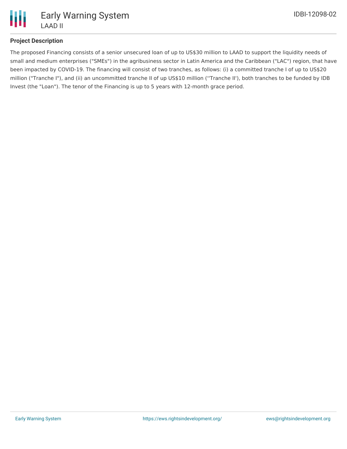

## **Project Description**

The proposed Financing consists of a senior unsecured loan of up to US\$30 million to LAAD to support the liquidity needs of small and medium enterprises ("SMEs") in the agribusiness sector in Latin America and the Caribbean ("LAC") region, that have been impacted by COVID-19. The financing will consist of two tranches, as follows: (i) a committed tranche I of up to US\$20 million ("Tranche I"), and (ii) an uncommitted tranche II of up US\$10 million (''Tranche II'), both tranches to be funded by IDB Invest (the "Loan"). The tenor of the Financing is up to 5 years with 12-month grace period.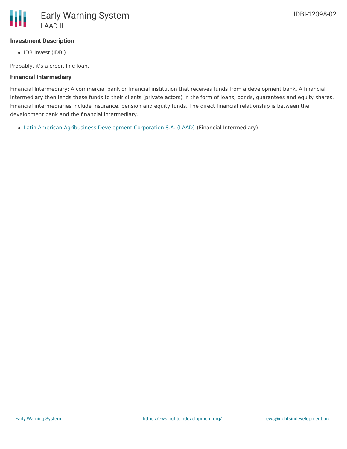### **Investment Description**

• IDB Invest (IDBI)

Probably, it's a credit line loan.

### **Financial Intermediary**

Financial Intermediary: A commercial bank or financial institution that receives funds from a development bank. A financial intermediary then lends these funds to their clients (private actors) in the form of loans, bonds, guarantees and equity shares. Financial intermediaries include insurance, pension and equity funds. The direct financial relationship is between the development bank and the financial intermediary.

Latin American Agribusiness [Development](file:///actor/3179/) Corporation S.A. (LAAD) (Financial Intermediary)